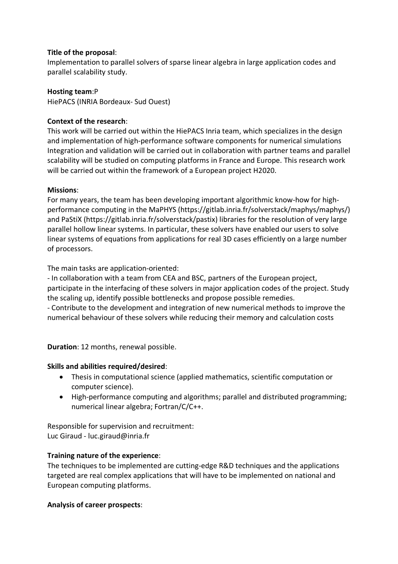### **Title of the proposal**:

Implementation to parallel solvers of sparse linear algebra in large application codes and parallel scalability study.

**Hosting team**:P HiePACS (INRIA Bordeaux- Sud Ouest)

# **Context of the research**:

This work will be carried out within the HiePACS Inria team, which specializes in the design and implementation of high-performance software components for numerical simulations Integration and validation will be carried out in collaboration with partner teams and parallel scalability will be studied on computing platforms in France and Europe. This research work will be carried out within the framework of a European project H2020.

## **Missions**:

For many years, the team has been developing important algorithmic know-how for highperformance computing in the MaPHYS (https://gitlab.inria.fr/solverstack/maphys/maphys/) and PaStiX (https://gitlab.inria.fr/solverstack/pastix) libraries for the resolution of very large parallel hollow linear systems. In particular, these solvers have enabled our users to solve linear systems of equations from applications for real 3D cases efficiently on a large number of processors.

The main tasks are application-oriented:

- In collaboration with a team from CEA and BSC, partners of the European project, participate in the interfacing of these solvers in major application codes of the project. Study the scaling up, identify possible bottlenecks and propose possible remedies. - Contribute to the development and integration of new numerical methods to improve the numerical behaviour of these solvers while reducing their memory and calculation costs

**Duration**: 12 months, renewal possible.

## **Skills and abilities required/desired**:

- Thesis in computational science (applied mathematics, scientific computation or computer science).
- High-performance computing and algorithms; parallel and distributed programming; numerical linear algebra; Fortran/C/C++.

Responsible for supervision and recruitment: Luc Giraud - luc.giraud@inria.fr

## **Training nature of the experience**:

The techniques to be implemented are cutting-edge R&D techniques and the applications targeted are real complex applications that will have to be implemented on national and European computing platforms.

## **Analysis of career prospects**: